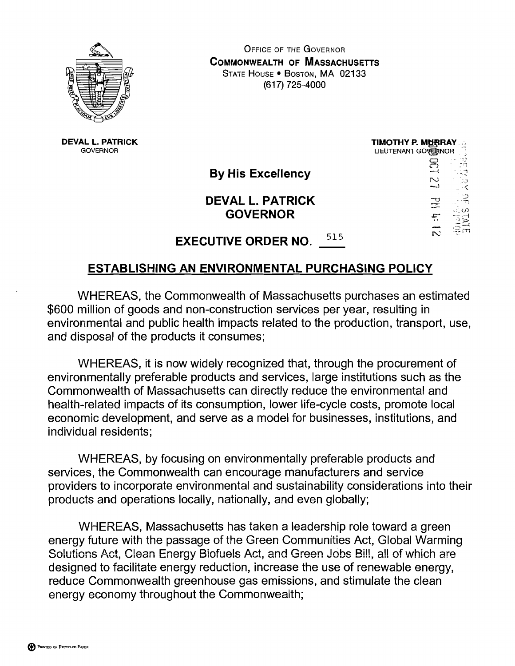

OFFICE OF THE GOVERNOR **COMMONWEALTH OF MASSACHUSETTS** STATE HOUSE . BOSTON, MA 02133 (617) 725-4000

**DEVAL L. PATRICK GOVERNOR** 

**By His Excellency** 

**DEVAL L. PATRICK** 



# **EXECUTIVE ORDER NO.** <sup>515</sup>

### **ESTABLISHING AN ENVIRONMENTAL PURCHASING POLICY**

WHEREAS, the Commonwealth of Massachusetts purchases an estimated \$600 million of goods and non-construction services per year, resulting in environmental and public health impacts related to the production, transport, use, and disposal of the products it consumes;

WHEREAS, it is now widely recognized that, through the procurement of environmentally preferable products and services, large institutions such as the Commonwealth of Massachusetts can directly reduce the environmental and health-related impacts of its consumption, lower life-cycle costs, promote local economic development, and serve as a model for businesses, institutions, and individual residents;

WHEREAS, by focusing on environmentally preferable products and services, the Commonwealth can encourage manufacturers and service providers to incorporate environmental and sustainability considerations into their products and operations locally, nationally, and even globally;

WHEREAS, Massachusetts has taken a leadership role toward a green energy future with the passage of the Green Communities Act, Global Warming Solutions Act, Clean Energy Biofuels Act, and Green Jobs Bill, all of which are designed to facilitate energy reduction, increase the use of renewable energy, reduce Commonwealth greenhouse gas emissions, and stimulate the clean energy economy throughout the Commonwealth;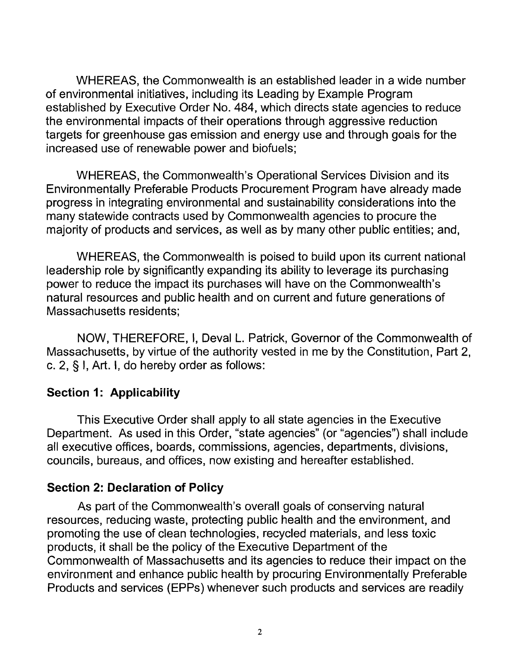WHEREAS, the Commonwealth is an established leader in a wide number of environmental initiatives, including its Leading by Example Program established by Executive Order No. 484, which directs state agencies to reduce the environmental impacts of their operations through aggressive reduction targets for greenhouse gas emission and energy use and through goals for the increased use of renewable power and biofuels;

WHEREAS, the Commonwealth's Operational Services Division and its Environmentally Preferable Products Procurement Program have already made progress in integrating environmental and sustainability considerations into the many statewide contracts used by Commonwealth agencies to procure the majority of products and services, as well as by many other public entities; and,

WHEREAS, the Commonwealth is poised to build upon its current national leadership role by significantly expanding its ability to leverage its purchasing power to reduce the impact its purchases will have on the Commonwealth's natural resources and public health and on current and future generations of Massachusetts residents;

NOW, THEREFORE, I, Deval L. Patrick, Governor of the Commonwealth of Massachusetts, by virtue of the authority vested in me by the Constitution, Part 2, c. 2, § I, Art. I, do hereby order as follows:

#### **Section 1: Applicability**

This Executive Order shall apply to all state agencies in the Executive Department. As used in this Order, "state agencies" (or "agencies") shall include all executive offices, boards, commissions, agencies, departments, divisions, councils, bureaus, and offices, now existing and hereafter established.

#### **Section 2: Declaration of Policy**

As part of the Commonwealth's overall goals of conserving natural resources, reducing waste, protecting public health and the environment, and promoting the use of clean technologies, recycled materials, and less toxic products, it shall be the policy of the Executive Department of the Commonwealth of Massachusetts and its agencies to reduce their impact on the environment and enhance public health by procuring Environmentally Preferable Products and services (EPPs) whenever such products and services are readily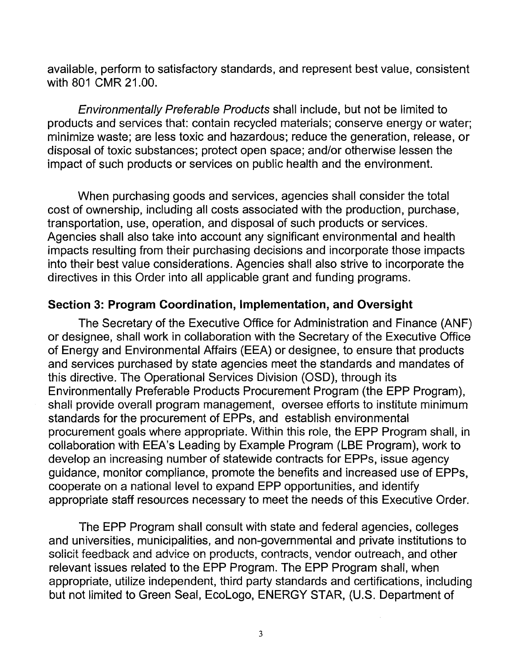available, perform to satisfactory standards, and represent best value, consistent with 801 CMR 21.00.

Environmentally Preferable Products shall include, but not be limited to products and services that: contain recycled materials; conserve energy or water; minimize waste; are less toxic and hazardous; reduce the generation, release, or disposal of toxic substances; protect open space; and/or otherwise lessen the impact of such products or services on public health and the environment.

When purchasing goods and services, agencies shall consider the total cost of ownership, including all costs associated with the production, purchase, transportation, use, operation, and disposal of such products or services. Agencies shall also take into account any significant environmental and health impacts resulting from their purchasing decisions and incorporate those impacts into their best value considerations. Agencies shall also strive to incorporate the directives in this Order into all applicable grant and funding programs.

#### **Section 3: Program Coordination, Implementation, and Oversight**

The Secretary of the Executive Office for Administration and Finance (ANF) or designee, shall work in collaboration with the Secretary of the Executive Office of Energy and Environmental Affairs (EEA) or designee, to ensure that products and services purchased by state agencies meet the standards and mandates of this directive. The Operational Services Division (OSD), through its Environmentally Preferable Products Procurement Program (the EPP Program), shall provide overall program management, oversee efforts to institute minimum standards for the procurement of EPPs, and establish environmental procurement goals where appropriate. Within this role, the EPP Program shall, in collaboration with EEA's Leading by Example Program (LBE Program), work to develop an increasing number of statewide contracts for EPPs, issue agency guidance, monitor compliance, promote the benefits and increased use of EPPs, cooperate on a national level to expand EPP opportunities, and identify appropriate staff resources necessary to meet the needs of this Executive Order.

The EPP Program shall consult with state and federal agencies, colleges and universities, municipalities, and non-governmental and private institutions to solicit feedback and advice on products, contracts, vendor outreach, and other relevant issues related to the EPP Program. The EPP Program shali, when appropriate, utilize independent, third party standards and certifications, including but not limited to Green Seal, EcoLogo, ENERGY STAR, (U.S. Department of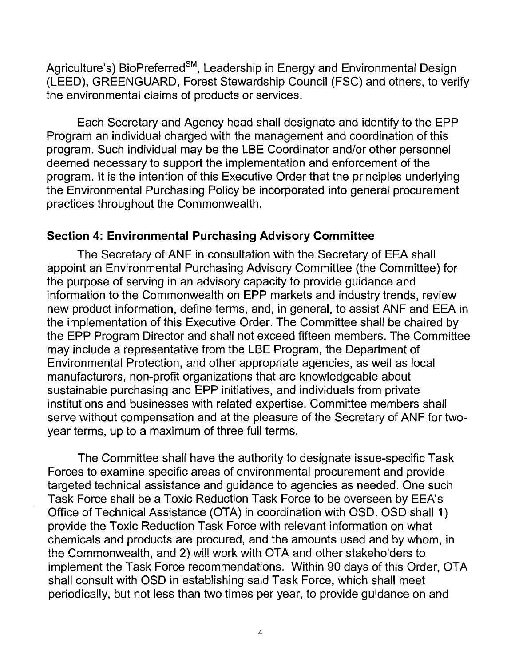Agriculture's) BioPreferred<sup>SM</sup>, Leadership in Energy and Environmental Design (LEED), GREENGUARD, Forest Stewardship Council (FSC) and others, to verify the environmental claims of products or services.

Each Secretary and Agency head shall designate and identify to the EPP Program an individual charged with the management and coordination of this program. Such individual may be the LBE Coordinator and/or other personnel deemed necessary to support the implementation and enforcement of the program. It is the intention of this Executive Order that the principles underlying the Environmental Purchasing Policy be incorporated into general procurement practices throughout the Commonwealth.

#### **Section 4: Environmental Purchasing Advisory Committee**

The Secretary of ANF in consultation with the Secretary of EEA shall appoint an Environmental Purchasing Advisory Committee (the Committee) for the purpose of serving in an advisory capacity to provide guidance and information to the Commonwealth on EPP markets and industry trends, review new product information, define terms, and, in general, to assist ANF and EEA in the implementation of this Executive Order. The Committee shall be chaired by the EPP Program Director and shall not exceed fifteen members. The Committee may include a representative from the LBE Program, the Department of Environmental Protection, and other appropriate agencies, as well as local manufacturers, non-profit organizations that are knowledgeable about sustainable purchasing and EPP initiatives, and individuals from private institutions and businesses with related expertise. Committee members shall serve without compensation and at the pleasure of the Secretary of ANF for twoyear terms, up to a maximum of three full terms.

The Committee shall have the authority to designate issue-specific Task Forces to examine specific areas of environmental procurement and provide targeted technical assistance and guidance to agencies as needed. One such Task Force shall be a Toxic Reduction Task Force to be overseen by EEA's Office of Technical Assistance (OTA) in coordinalion with OSD. OSD shall 1) provide the Toxic Reduction Task Force with relevant information on what chemicals and products are procured, and the amounts used and by whom, in the Commonwealth, and 2) will work with OTA and other stakeholders to implement the Task Force recommendations. Within 90 days of this Order, OTA shall consult with OSD in establishing said Task Force, which shall meet periodically, but not less than two times per year, to provide guidance on and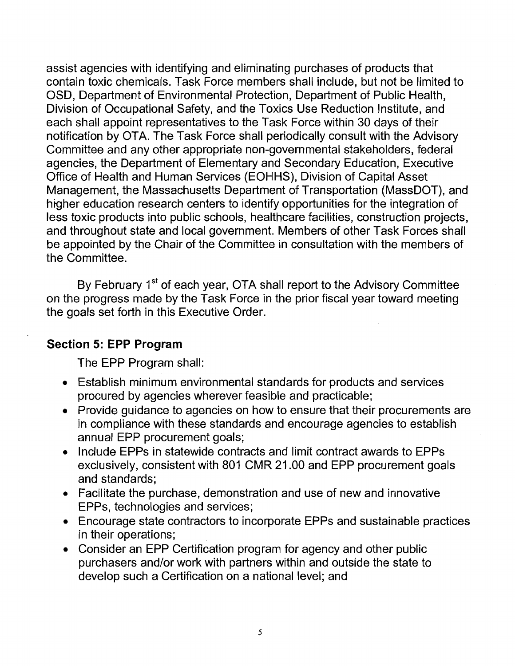assist agencies with identifying and eliminating purchases of products that contain toxic chemicals. Task Force members shall include, but not be limited to OSD, Department of Environmental Protection, Department of Public Health, Division of Occupational Safety, and the Toxics Use Reduction Institute, and each shall appoint representatives to the Task Force within 30 days of their notification by OTA. The Task Force shall periodically consult with the Advisory Committee and any other appropriate non-governmental stakeholders, federal agencies, the Department of Elementary and Secondary Education, Executive Office of Health and Human Services (EOHHS), Division of Capital Asset Management, the Massachusetts Department of Transportation (MassDOT), and higher education research centers to identify opportunities for the integration of less toxic products into public schools, healthcare facilities, construction projects, and throughout state and local government. Members of other Task Forces shall be appointed by the Chair of the Committee in consultation with the members of the Committee.

By February 1<sup>st</sup> of each year, OTA shall report to the Advisory Committee on the progress made by the Task Force in the prior fiscal year toward meeting the goals set forth in this Executive Order.

#### **Section 5: EPP Program**

The EPP Program shall:

- Establish minimum environmental standards for products and services procured by agencies wherever feasible and practicable;
- Provide guidance to agencies on how to ensure that their procurements are in compliance with these standards and encourage agencies to establish annual EPP procurement goals;
- Include EPPs in statewide contracts and limit contract awards to EPPs exclusively, consistent with 801 CMR 21.00 and EPP procurement goals and standards;
- Facilitate the purchase, demonstration and use of new and innovative EPPs, technologies and services;
- Encourage state contractors to incorporate EPPs and sustainable practices in their operations;
- Consider an EPP Certification program for agency and other public purchasers and/or work with partners within and outside the state to develop such a Certification on a national level; and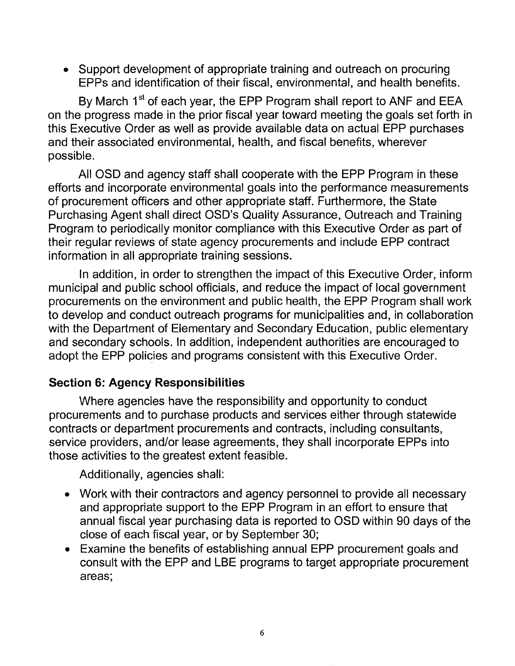• Support development of appropriate training and outreach on procuring EPPs and identification of their fiscal, environmental, and health benefits.

By March 1<sup>st</sup> of each year, the EPP Program shall report to ANF and EEA on the progress made in the prior fiscal year toward meeting the goals set forth in this Executive Order as well as provide available data on actual EPP purchases and their associated environmental, health, and fiscal benefits, wherever possible.

All OSD and agency staff shall cooperate with the EPP Program in these efforts and incorporate environmental goals into the performance measurements of procurement officers and other appropriate staff. Furthermore, the State Purchasing Agent shall direct OSD's Quality Assurance, Outreach and Training Program to periodically monitor compliance with this Executive Order as part of their regular reviews of state agency procurements and include EPP contract information in all appropriate training sessions.

In addition, in order to strengthen the impact of this Executive Order, inform municipal and public school officials, and reduce the impact of local government procurements on the environment and public health, the EPP Program shall work to develop and conduct outreach programs for municipalities and, in collaboration with the Department of Elementary and Secondary Education, public elementary and secondary schools. In addition, independent authorities are encouraged to adopt the EPP policies and programs consistent with this Executive Order.

#### **Section 6: Agency Responsibilities**

Where agencies have the responsibility and opportunity to conduct procurements and to purchase products and services either through statewide contracts or department procurements and contracts, including consultants, service providers, and/or lease agreements, they shall incorporate EPPs into those activities to the greatest extent feasible.

Additionally, agencies shall:

- Work with their contractors and agency personnel to provide all necessary and appropriate support to the EPP Program in an effort to ensure that annual fiscal year purchasing data is reported to OSD within 90 days of the close of each fiscal year, or by September 30;
- Examine the benefits of establishing annual EPP procurement goals and consult with the EPP and LBE programs to target appropriate procurement areas;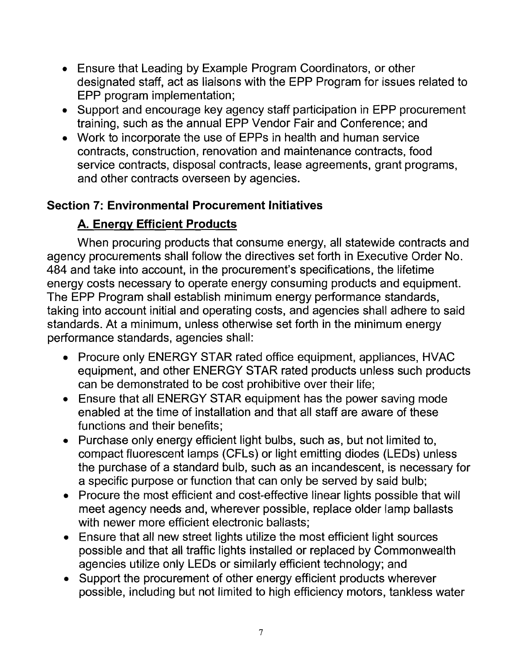- Ensure that Leading by Example Program Coordinators, or other designated staff, act as liaisons with the EPP Program for issues related to EPP program implementation;
- Support and encourage key agency staff participation in EPP procurement training, such as the annual EPP Vendor Fair and Conference; and
- Work to incorporate the use of EPPs in health and human service contracts, construction, renovation and maintenance contracts, food service contracts, disposal contracts, lease agreements, grant programs, and other contracts overseen by agencies.

### **Section 7: Environmental Procurement Initiatives**

## **A. Enerqv Efficient Products**

When procuring products that consume energy, all statewide contracts and agency procurements shall follow the directives set forth in Executive Order No. 484 and take into account, in the procurement's specifications, the lifetime energy costs necessary to operate energy consuming products and equipment. The EPP Program shall establish minimum energy performance standards, taking into account initial and operating costs, and agencies shall adhere to said standards. At a minimum, unless otherwise set forth in the minimum energy performance standards, agencies shall:

- Procure only ENERGY STAR rated office equipment, appliances, HVAC equipment, and other ENERGY STAR rated products unless such products can be demonstrated to be cost prohibitive over their life;
- Ensure that all ENERGY STAR equipment has the power saving mode enabled at the time of installation and that all staff are aware of these functions and their benefits;
- Purchase only energy efficient light bulbs, such as, but not limited to, compact fluorescent lamps (CFLs) or light emitting diodes (LEDs) unless the purchase of a standard bulb, such as an incandescent, is necessary for a specific purpose or function that can only be served by said bulb;
- Procure the most efficient and cost-effective linear lights possible that will meet agency needs and, wherever possible, replace older lamp ballasts with newer more efficient electronic ballasts;
- Ensure that all new street lights utilize the most efficient light sources possible and that all traffic lights installed or replaced by Commonwealth agencies utilize only LEDs or similarly efficient technology; and
- Support the procurement of other energy efficient products wherever possible, including but not limited to high efficiency motors, tankless water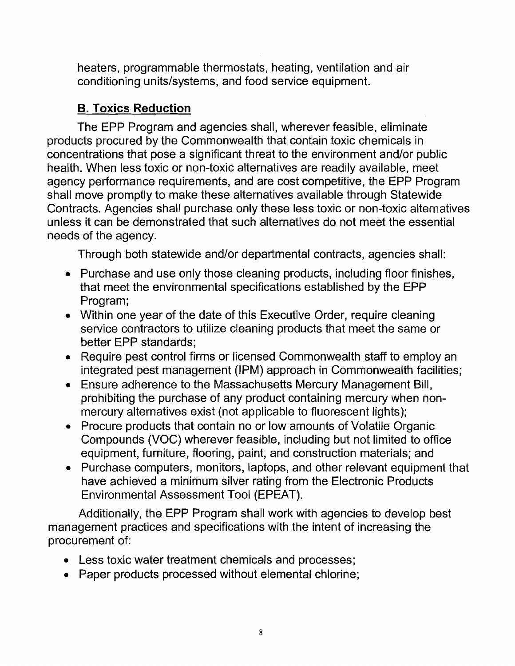heaters, programmable thermostats, heating, ventilation and air conditioning units/systems, and food service equipment.

## **B. Toxics Reduction**

The EPP Program and agencies shall, wherever feasible, eliminate products procured by the Commonwealth that contain toxic chemicals in concentrations that pose a significant threat to the environment and/or public health. When less toxic or non-toxic alternatives are readily available, meet agency performance requirements, and are cost competitive, the EPP Program shall move promptly to make these alternatives available through Statewide Contracts. Agencies shall purchase only these less toxic or non-toxic alternatives unless it can be demonstrated that such alternatives do not meet the essential needs of the agency.

Through both statewide and/or departmental contracts, agencies shall:

- Purchase and use only those cleaning products, including floor finishes, that meet the environmental specifications established by the EPP Program;
- Within one year of the date of this Executive Order, require cleaning service contractors to utilize cleaning products that meet the same or better EPP standards;
- Require pest control firms or licensed Commonwealth staff to employ an integrated pest management (IPM) approach in Commonwealth facilities;
- Ensure adherence to the Massachusetts Mercury Management Bill, prohibiting the purchase of any product containing mercury when nonmercury alternatives exist (not applicable to fluorescent lights);
- Procure products that contain no or low amounts of Volatile Organic Compounds (VOC) wherever feasible, including but not limited to office equipment, furniture, flooring, paint, and construction materials; and
- Purchase computers, monitors, laptops, and other relevant equipment that have achieved a minimum silver rating from the Electronic Products Environmental Assessment Tool (EPEAT).

Additionally, the EPP Program shall work with agencies to develop best management practices and specifications with the intent of increasing the procurement of:

- Less toxic water treatment chemicals and processes;
- Paper products processed without elemental chlorine;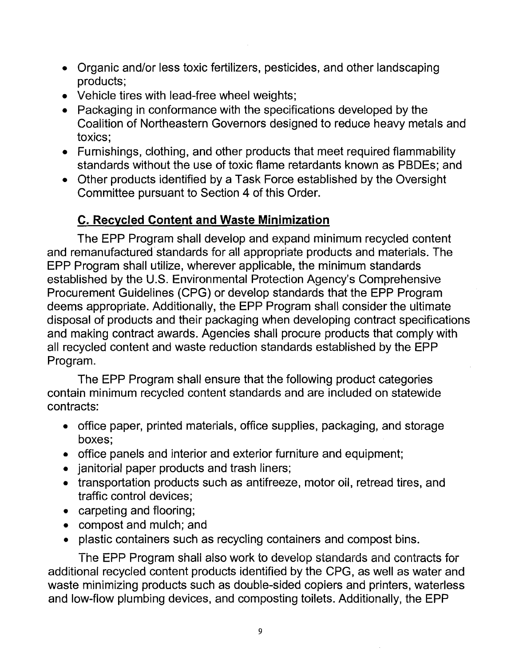- Organic and/or less toxic fertilizers, pesticides, and other landscaping products;
- Vehicle tires with lead-free wheel weights;
- Packaging in conformance with the specifications developed by the Coalition of Northeastern Governors designed to reduce heavy metals and toxics;
- Furnishings, clothing, and other products that meet required flammability standards without the use of toxic flame retardants known as PBDEs; and
- Other products identified by a Task Force established by the Oversight Committee pursuant to Section 4 of this Order.

# **C. Recycled Content and Waste Minimization**

The EPP Program shall develop and expand minimum recycled content and remanufactured'standards for all appropriate products and materials. The EPP Program shall utilize, wherever applicable, the minimum standards established by the U.S. Environmental Protection Agency's Comprehensive Procurement Guidelines (CPG) or develop standards that the EPP Program deems appropriate. Additionally, the EPP Program shall consider the ultimate disposal of products and their packaging when developing contract specifications and making contract awards. Agencies shall procure products that comply with all recycled content and waste reduction standards established by the EPP Program.

The EPP Program shall ensure that the following product categories contain minimum recycled content standards and are included on statewide contracts:

- office paper, printed materials, office supplies, packaging, and storage boxes;
- office panels and interior and exterior furniture and equipment;
- janitorial paper products and trash liners;
- transportation products such as antifreeze, motor oil, retread tires, and traffic control devices;
- $\bullet$  carpeting and flooring;
- compost and mulch; and
- plastic containers such as recycling containers and compost bins.

The EPP Program shall also work to develop standards and contracts for additional recycled content products identified by the CPG, as well as water and waste minimizing products such as double-sided copiers and printers, waterless and low-flow plumbing devices, and composting toilets. Additionally, the EPP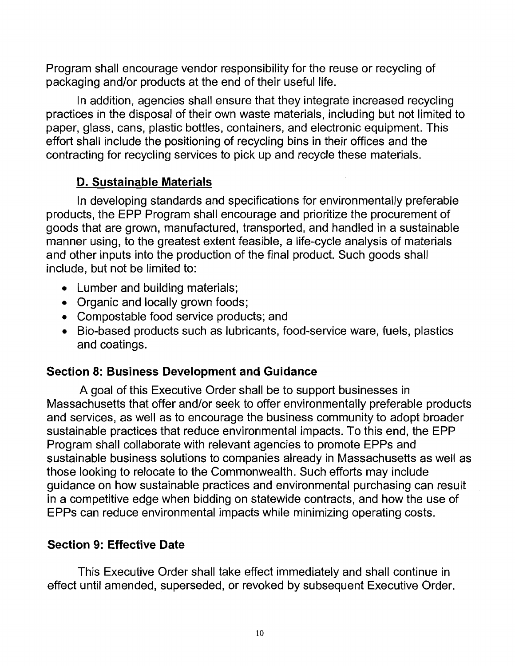Program shall encourage vendor responsibility for the reuse or recycling of packaging and/or products at the end of their useful life.

In addition, agencies shall ensure that they integrate increased recycling practices in the disposal of their own waste materials, including but not limited to paper, glass, cans, plastic bottles, containers, and electronic equipment. This effort shall include the positioning of recycling bins in their offices and the contracting for recycling services to pick up and recycle these materials.

### **D. Sustainable Materials**

In developing standards and specifications for environmentally preferable products, 'the EPP Program shall encourage and prioritize the procurement of goods that are grown, manufactured, transported, and handled in a sustainable manner using, to the greatest extent feasible, a life-cycle analysis of materials and other inputs into the production of the final product. Such goods shall include, but not be limited to:

- Lumber and building materials;
- Organic and locally grown foods;
- Compostable food service products; and
- Bio-based products such as lubricants, food-service ware, fuels, plastics and coatings.

## **Section 8: Business Development and Guidance**

A goal of this Executive Order shall be to support businesses in Massachusetts that offer and/or seek to offer environmentally preferable products and services, as well as to encourage the business community to adopt broader sustainable practices that reduce environmental impacts. To this end, the EPP Program shall collaborate with relevant agencies to promote EPPs and sustainable business solutions to companies already in Massachusetts as well as those looking to relocate to the Commonwealth. Such efforts may include guidance on how sustainable practices and environmental purchasing can result in a competitive edge when bidding on statewide contracts, and how the use of EPPs can reduce environmental impacts while minimizing operating costs.

# **Section 9: Effective Date**

This Executive Order shall take effect immediately and shall continue in effect until amended, superseded, or revoked by subsequent Executive Order.